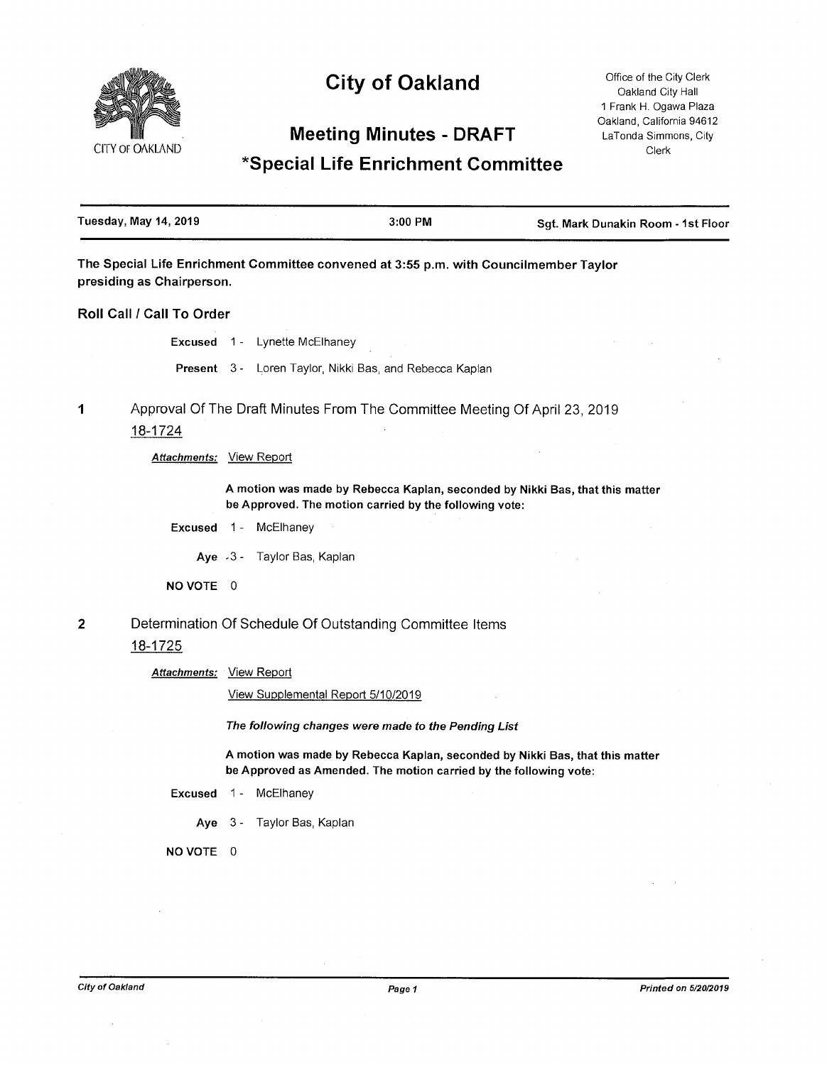# CITY OF OAKLAND

# **City of Oakland**

Office of the City Clerk Oakland City Hall <sup>1</sup> Frank H. Ogawa Plaza Oakland, California 94612 LaTonda Simmons, City Clerk

## **Meeting Minutes - DRAFT**

## **^Special Life Enrichment Committee**

| <b>Tuesday, May 14, 2019</b> | 3:00 PM | Sgt. Mark Dunakin Room - 1st Floor |
|------------------------------|---------|------------------------------------|
|                              |         |                                    |

**The Special Life Enrichment Committee convened at 3:55 p.m. with Councilmember Taylor presiding as Chairperson.**

**Roll Call / Call To Order**

**Excused** <sup>1</sup> - Lynette McElhaney

**Present** 3 - Loren Taylor, Nikki Bas, and Rebecca Kaplan

Approval Of The Draft Minutes From The Committee Meeting Of April 23, 2019 18-1724 **1**

#### *Attachments:* View Report

**A motion was made by Rebecca Kaplan, seconded by Nikki Bas, that this matter be Approved. The motion carried by the following vote:**

**Excused** <sup>1</sup> - McElhaney

**Aye** -3- Taylor Bas, Kaplan

**NO VOTE** 0

Determination Of Schedule Of Outstanding Committee Items 2

## 18-1725

*Attachments:* View Report

View Supplemental Report 5/10/2019

*The following changes were made to the Pending List*

**A motion was made by Rebecca Kaplan, seconded by Nikki Bas, that this matter be Approved as Amended. The motion carried by the following vote:**

- **Excused** <sup>1</sup> McElhaney
	- **Aye** 3 Taylor Bas, Kaplan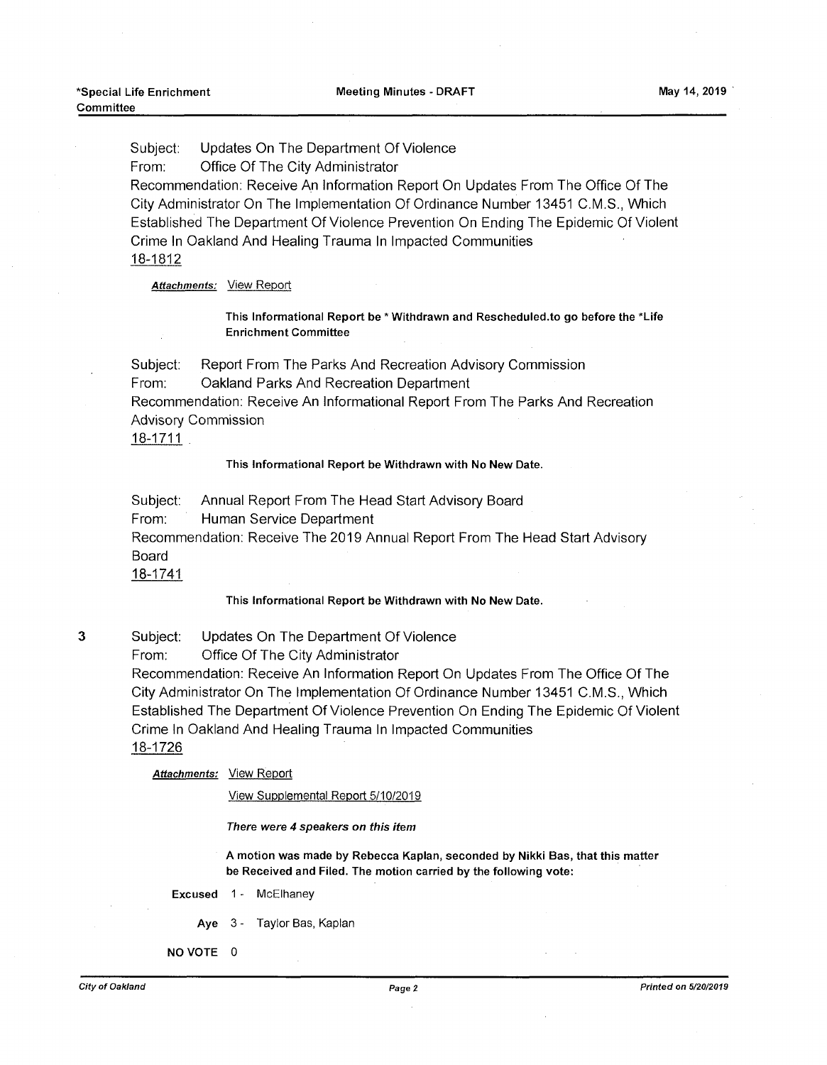Subject: Updates On The Department Of Violence

From: Office Of The City Administrator

Recommendation: Receive An Information Report On Updates From The Office Of The City Administrator On The Implementation Of Ordinance Number 13451 C.M.S., Which Established The Department Of Violence Prevention On Ending The Epidemic Of Violent Crime In Oakland And Healing Trauma In Impacted Communities 18-1812

*Attachments:* View Report

This Informational Report be \* Withdrawn and Rescheduled.to go before the 'Life Enrichment Committee

Subject: Report From The Parks And Recreation Advisory Commission From: Oakland Parks And Recreation Department Recommendation: Receive An Informational Report From The Parks And Recreation Advisory Commission

18-1711

#### This Informational Report be Withdrawn with No New Date.

Subject: Annual Report From The Head Start Advisory Board

From: Human Service Department

Recommendation: Receive The 2019 Annual Report From The Head Start Advisory Board

18-1741

#### This Informational Report be Withdrawn with No New Date.

3 Subject: Updates On The Department Of Violence

From: Office Of The City Administrator

Recommendation: Receive An Information Report On Updates From The Office Of The City Administrator On The Implementation Of Ordinance Number 13451 C.M.S., Which Established The Department Of Violence Prevention On Ending The Epidemic Of Violent Crime In Oakland And Healing Trauma In Impacted Communities 18-1726

*Attachments:* View Report

View Supplemental Report 5/10/2019

*There were 4 speakers on this item*

A motion was made by Rebecca Kaplan, seconded by Nikki Bas, that this matter be Received and Filed. The motion carried by the following vote:

Excused 1- McElhaney

- Aye 3 Taylor Bas, Kaplan
- NO VOTE 0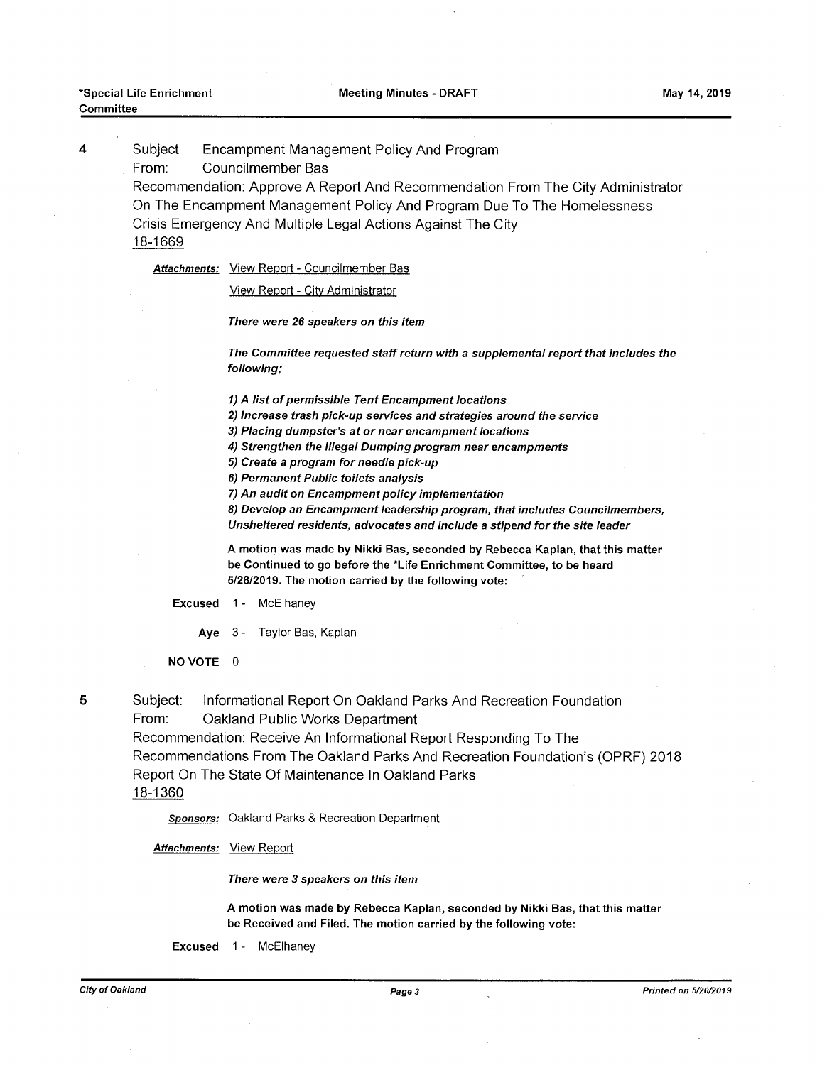4

Subject Encampment Management Policy And Program

From: Councilmember Bas

Recommendation: Approve A Report And Recommendation From The City Administrator On The Encampment Management Policy And Program Due To The Homelessness Crisis Emergency And Multiple Legal Actions Against The City 18-1669

*Attachments:* View Report - Councilmember Bas

View Report - City Administrator

*There were 26 speakers on this item*

*The Committee requested staffreturn with a supplemental report that includes the following;*

*1) A list ofpermissible Tent Encampment locations*

*2) Increase trash pick-up services and strategies around the service*

*3) Placing dumpster's at or near encampment locations*

*4) Strengthen the Illegal Dumping program near encampments*

*5) Create a program for needle pick-up*

*6) Permanent Public toilets analysis*

*7) An audit on Encampmentpolicy implementation*

*8) Develop an Encampment leadership program, that includes Councilmembers, Unsheltered residents, advocates and include a stipend for the site leader*

**A motion was made by Nikki Bas, seconded by Rebecca Kaplan, that this matter be Continued to go before the 'Life Enrichment Committee, to be heard 5/28/2019. The motion carried by the following vote:**

**Excused** <sup>1</sup> - McElhaney

**Aye** 3 - Taylor Bas, Kaplan

**NO VOTE 0**

5

Subject: Informational Report On Oakland Parks And Recreation Foundation From: Oakland Public Works Department Recommendation: Receive An Informational Report Responding To The Recommendations From The Oakland Parks And Recreation Foundation's (OPRF) 2018 Report On The State Of Maintenance In Oakland Parks

18-1360

*Sponsors:* Oakland Parks & Recreation Department

*Attachments:* View Report

*There were 3 speakers on this item*

**A motion was made by Rebecca Kaplan, seconded by Nikki Bas, that this matter be Received and Filed. The motion carried by the following vote:**

Excused 1- McElhaney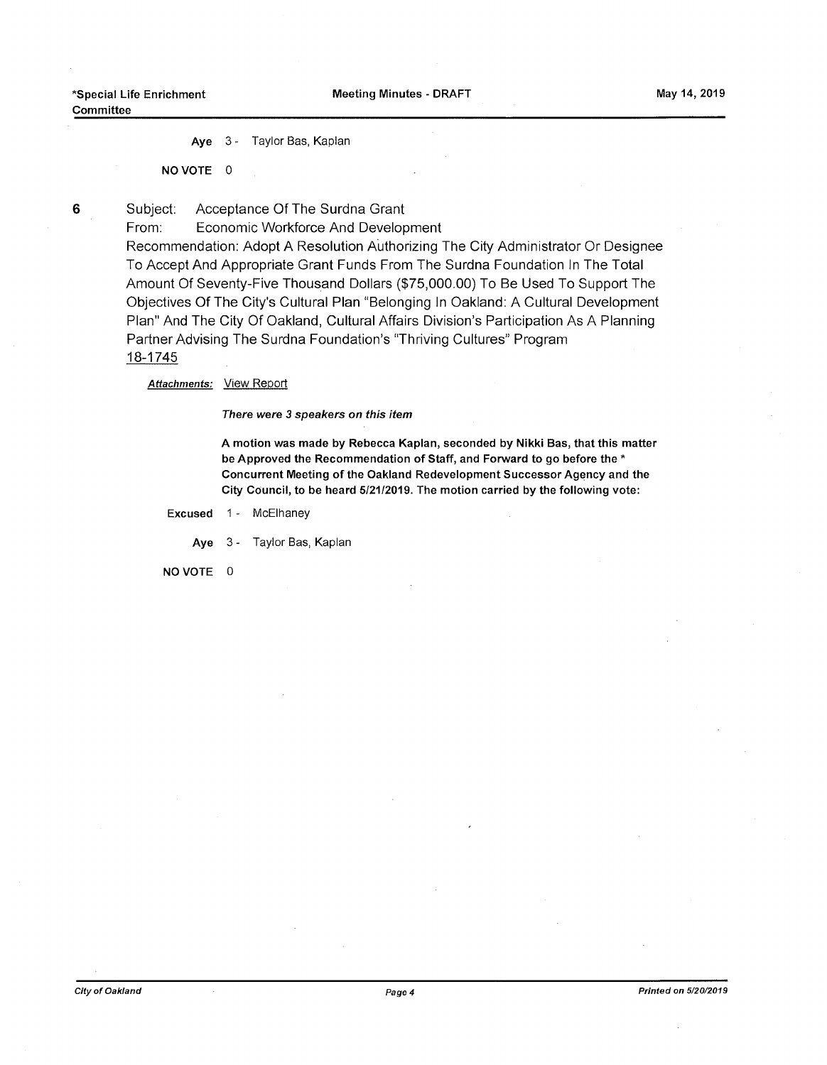Aye 3 - Taylor Bas, Kaplan

NO VOTE 0

Subject: Acceptance Of The Surdna Grant

From: Economic Workforce And Development

Recommendation: Adopt A Resolution Authorizing The City Administrator Or Designee To Accept And Appropriate Grant Funds From The Surdna Foundation In The Total Amount Of Seventy-Five Thousand Dollars (\$75,000.00) To Be Used To Support The Objectives Of The City's Cultural Plan "Belonging In Oakland: A Cultural Development Plan" And The City Of Oakland, Cultural Affairs Division's Participation As A Planning Partner Advising The Surdna Foundation's "Thriving Cultures" Program 18-1745

*Attachments:* View Report

*There were 3 speakers on this item*

A motion was made by Rebecca Kaplan, seconded by Nikki Bas, that this matter be Approved the Recommendation of Staff, and Forward to go before the \* Concurrent Meeting of the Oakland Redevelopment Successor Agency and the City Council, to be heard 5/21/2019. The motion carried by the following vote:

Excused 1 - McElhaney

Aye 3 - Taylor Bas, Kaplan

NO VOTE 0

6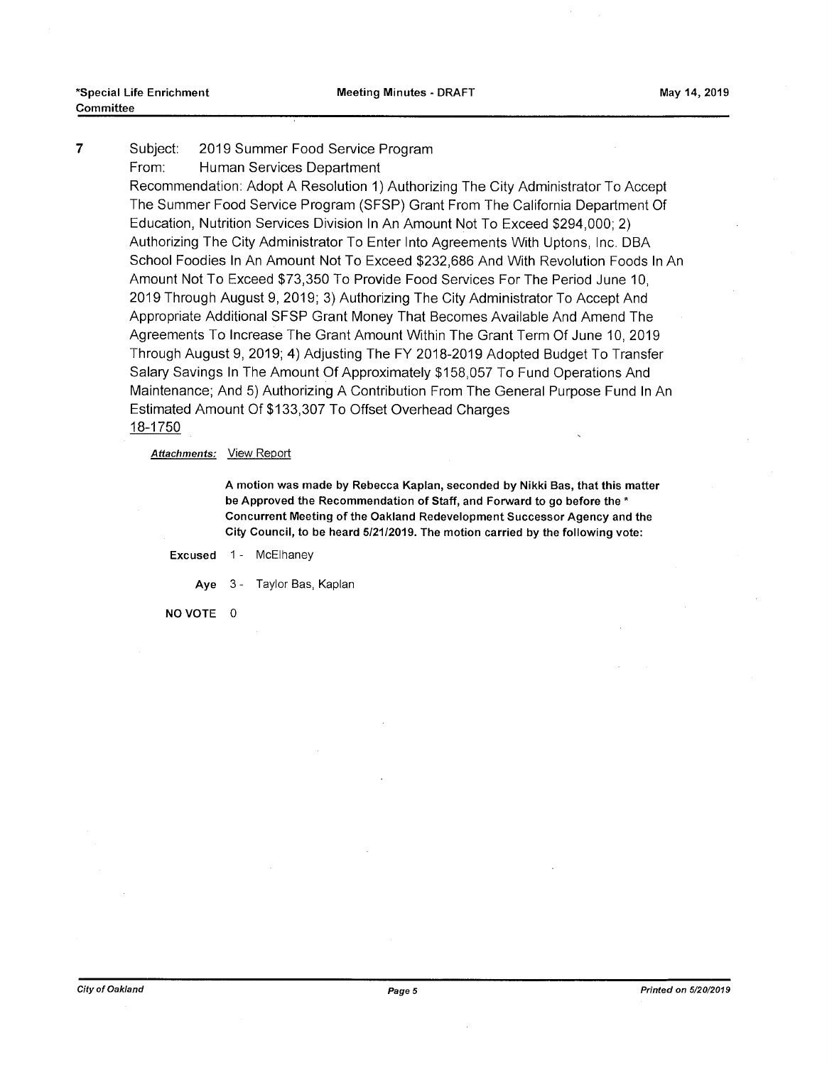#### Subject: 2019 Summer Food Service Program From: Human Services Department 7

Recommendation: Adopt A Resolution 1) Authorizing The City Administrator To Accept The Summer Food Service Program (SFSP) Grant From The California Department Of Education, Nutrition Services Division In An Amount Not To Exceed \$294,000; 2) Authorizing The City Administrator To Enter Into Agreements With Uptons, Inc. DBA School Foodies In An Amount Not To Exceed \$232,686 And With Revolution Foods In An Amount Not To Exceed \$73,350 To Provide Food Services For The Period June 10, 2019 Through August 9, 2019; 3) Authorizing The City Administrator To Accept And Appropriate Additional SFSP Grant Money That Becomes Available And Amend The Agreements To Increase The Grant Amount Within The Grant Term Of June 10, 2019 Through August 9, 2019; 4) Adjusting The FY 2018-2019 Adopted Budget To Transfer Salary Savings In The Amount Of Approximately \$158,057 To Fund Operations And Maintenance; And 5) Authorizing A Contribution From The General Purpose Fund In An Estimated Amount Of \$133,307 To Offset Overhead Charges 18-1750

#### *Attachments:* View Report

A motion was made by Rebecca Kaplan, seconded by Nikki Bas, that this matter be Approved the Recommendation of Staff, and Forward to go before the \* Concurrent Meeting of the Oakland Redevelopment Successor Agency and the City Council, to be heard 5/21/2019. The motion carried by the following vote:

#### Excused 1- McElhaney

Aye 3 - Taylor Bas, Kaplan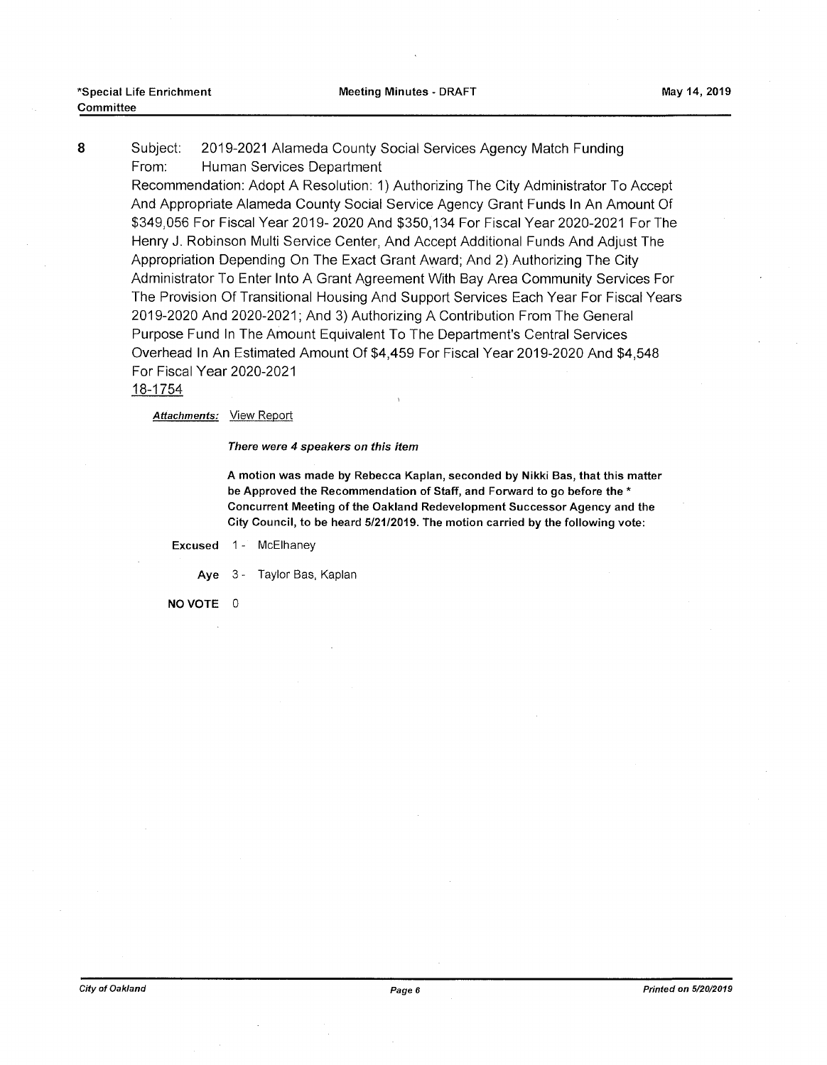Subject: 2019-2021 Alameda County Social Services Agency Match Funding From: 8 Human Services Department

Recommendation: Adopt A Resolution: 1) Authorizing The City Administrator To Accept And Appropriate Alameda County Social Service Agency Grant Funds In An Amount Of \$349,056 For Fiscal Year 2019- 2020 And \$350,134 For Fiscal Year 2020-2021 For The Henry J. Robinson Multi Service Center, And Accept Additional Funds And Adjust The Appropriation Depending On The Exact Grant Award; And 2) Authorizing The City Administrator To Enter Into A Grant Agreement With Bay Area Community Services For The Provision Of Transitional Housing And Support Services Each Year For Fiscal Years 2019-2020 And 2020-2021; And 3) Authorizing A Contribution From The General Purpose Fund In The Amount Equivalent To The Department's Central Services Overhead In An Estimated Amount Of \$4,459 For Fiscal Year 2019-2020 And \$4,548 For Fiscal Year 2020-2021

#### 18-1754

*Attachments:* View Report

*There were 4 speakers on this item*

A motion was made by Rebecca Kaplan, seconded by Nikki Bas, that this matter be Approved the Recommendation of Staff, and Forward to go before the \* Concurrent Meeting of the Oakland Redevelopment Successor Agency and the City Council, to be heard 5/21/2019. The motion carried by the following vote:

Excused 1- McElhaney

Aye 3 - Taylor Bas, Kaplan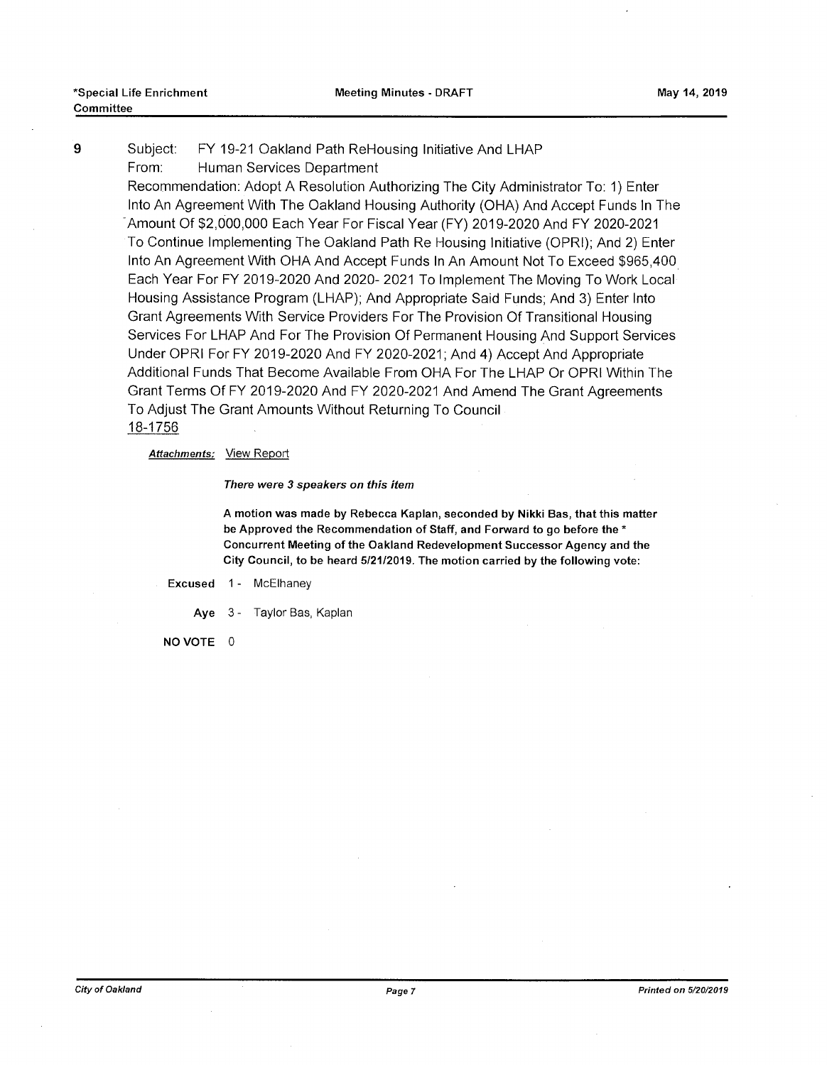#### 9 Subject: FY 19-21 Oakland Path ReHousing Initiative And LHAP Human Services Department Subject: From:

Recommendation: Adopt A Resolution Authorizing The City Administrator To: 1) Enter Into An Agreement With The Oakland Housing Authority (OHA) And Accept Funds In The Amount Of \$2,000,000 Each Year For Fiscal Year (FY) 2019-2020 And FY 2020-2021 To Continue Implementing The Oakland Path Re Housing Initiative (OPRI); And 2) Enter Into An Agreement With OHA And Accept Funds In An Amount Not To Exceed \$965,400 Each Year For FY 2019-2020 And 2020- 2021 To Implement The Moving To Work Local Housing Assistance Program (LHAP); And Appropriate Said Funds; And 3) Enter Into Grant Agreements With Service Providers For The Provision Of Transitional Housing Services For LHAP And For The Provision Of Permanent Housing And Support Services Under OPRI For FY 2019-2020 And FY 2020-2021; And 4) Accept And Appropriate Additional Funds That Become Available From OHA For The LHAP Or OPRI Within The Grant Terms Of FY 2019-2020 And FY 2020-2021 And Amend The Grant Agreements To Adjust The Grant Amounts Without Returning To Council 18-1756

#### *Attachments:* View Report

#### *There were 3 speakers on this item*

A motion was made by Rebecca Kaplan, seconded by Nikki Bas, that this matter be Approved the Recommendation of Staff, and Forward to go before the \* Concurrent Meeting of the Oakland Redevelopment Successor Agency and the City Council, to be heard 5/21/2019. The motion carried by the following vote:

#### Excused 1- McElhaney

Aye 3- Taylor Bas, Kaplan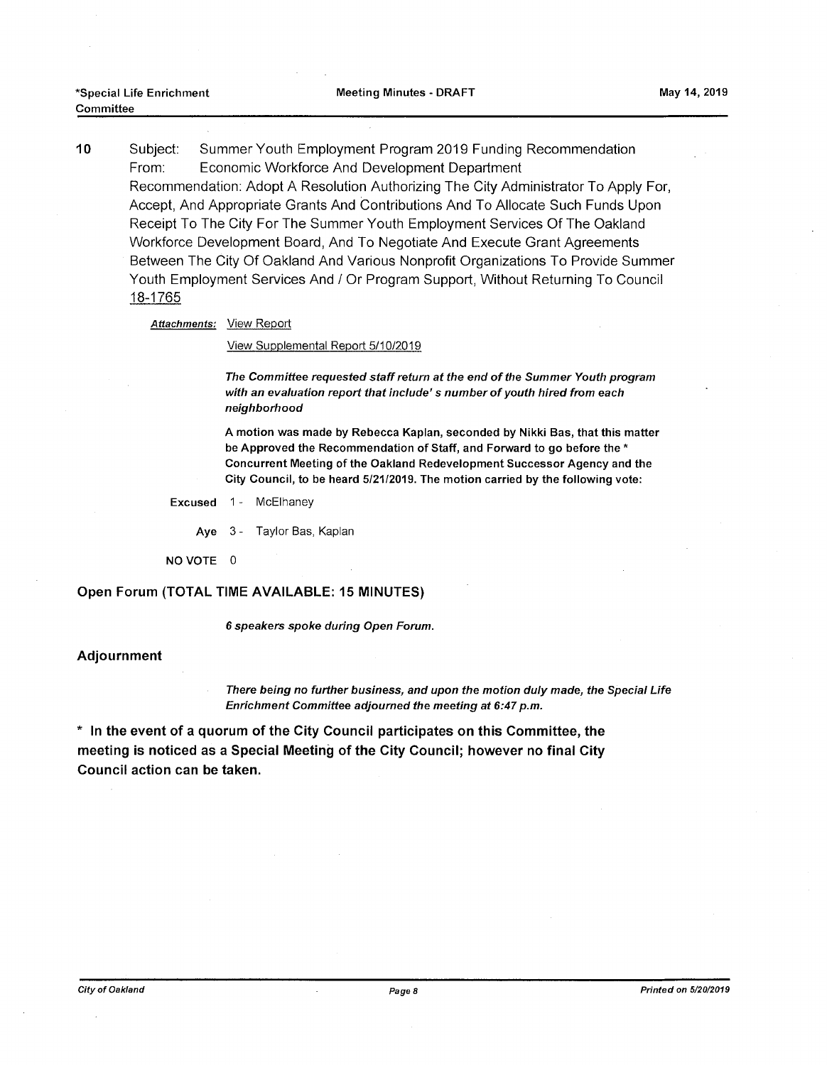Subject: Summer Youth Employment Program 2019 Funding Recommendation From: Economic Workforce And Development Department Recommendation: Adopt A Resolution Authorizing The City Administrator To Apply For, Accept, And Appropriate Grants And Contributions And To Allocate Such Funds Upon Receipt To The City For The Summer Youth Employment Services Of The Oakland Workforce Development Board, And To Negotiate And Execute Grant Agreements Between The City Of Oakland And Various Nonprofit Organizations To Provide Summer Youth Employment Services And / Or Program Support, Without Returning To Council 18-1765 **10**

*Attachments:* View Report

View Supplemental Report 5/10/2019

*The Committee requested staffreturn at the end ofthe Summer Youth program with an evaluation report that include's number ofyouth hired from each neighborhood*

A motion was made by Rebecca Kaplan, seconded by Nikki Bas, that this matter be Approved the Recommendation of Staff, and Forward to go before the \* Concurrent Meeting of the Oakland Redevelopment Successor Agency and the City Council, to be heard 5/21/2019. The motion carried by the following vote:

Excused 1- McElhaney

Aye 3- Taylor Bas, Kaplan

NO VOTE 0

#### **Open Forum (TOTAL TIME AVAILABLE: 15 MINUTES)**

6 *speakers spoke during Open Forum.*

#### **Adjournment**

*There being no further business, and upon the motion duly made, the Special Life Enrichment Committee adjourned the meeting at 6:47 p.m.*

**\* In the event of a quorum of the City Council participates on this Committee, the meeting is noticed as a Special Meeting of the City Council; however no final City Council action can be taken.**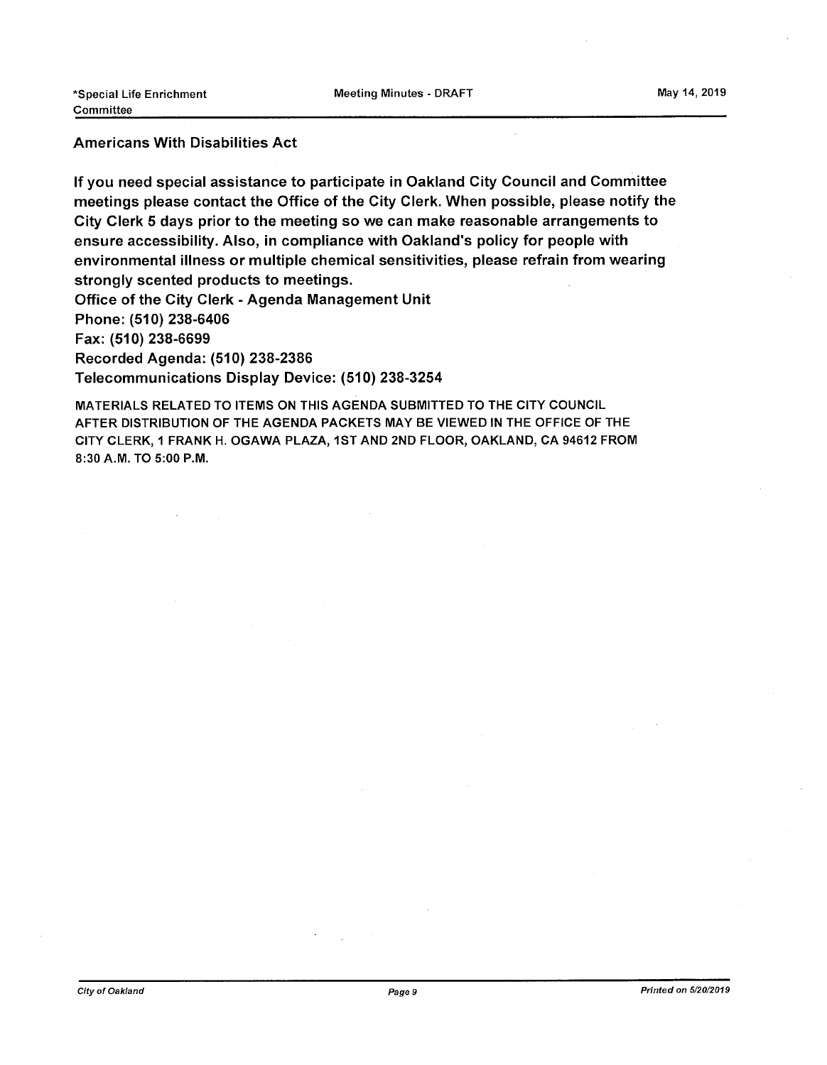### Americans With Disabilities Act

If you need special assistance to participate in Oakland City Council and Committee meetings please contact the Office of the City Clerk. When possible, please notify the City Clerk 5 days prior to the meeting so we can make reasonable arrangements to ensure accessibility. Also, in compliance with Oakland's policy for people with environmental illness or multiple chemical sensitivities, please refrain from wearing strongly scented products to meetings.

Office of the City Clerk - Agenda Management Unit Phone: (510) 238-6406 Fax: (510) 238-6699 Recorded Agenda: (510) 238-2386

Telecommunications Display Device: (510) 238-3254

MATERIALS RELATED TO ITEMS ON THIS AGENDA SUBMITTED TO THE CITY COUNCIL AFTER DISTRIBUTION OF THE AGENDA PACKETS MAY BE VIEWED IN THE OFFICE OF THE CITY CLERK, <sup>1</sup> FRANK H. OGAWA PLAZA, 1ST AND 2ND FLOOR, OAKLAND, CA 94612 FROM 8:30 A.M. TO 5:00 P.M.